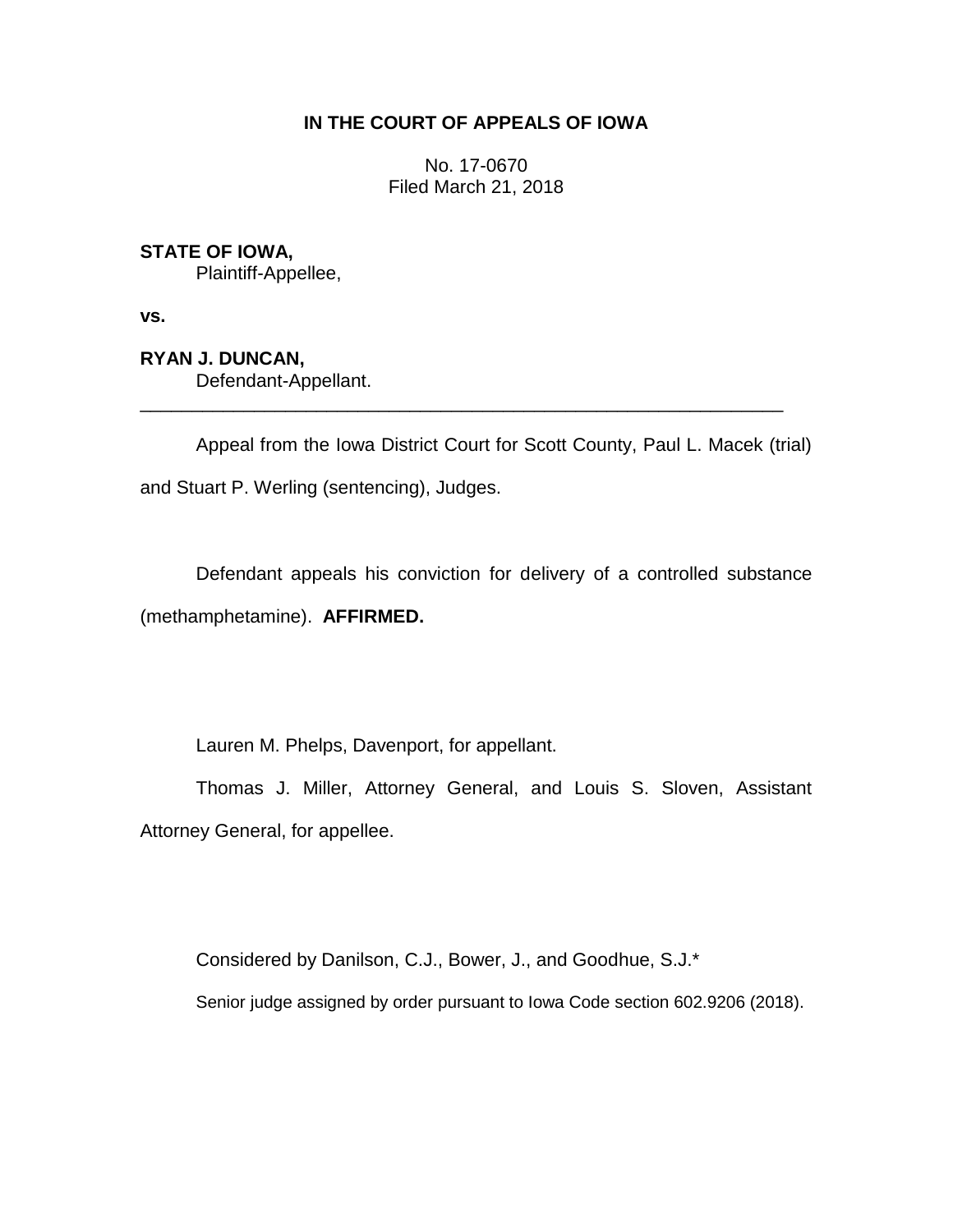## **IN THE COURT OF APPEALS OF IOWA**

No. 17-0670 Filed March 21, 2018

# **STATE OF IOWA,**

Plaintiff-Appellee,

**vs.**

# **RYAN J. DUNCAN,**

Defendant-Appellant.

Appeal from the Iowa District Court for Scott County, Paul L. Macek (trial) and Stuart P. Werling (sentencing), Judges.

\_\_\_\_\_\_\_\_\_\_\_\_\_\_\_\_\_\_\_\_\_\_\_\_\_\_\_\_\_\_\_\_\_\_\_\_\_\_\_\_\_\_\_\_\_\_\_\_\_\_\_\_\_\_\_\_\_\_\_\_\_\_

Defendant appeals his conviction for delivery of a controlled substance (methamphetamine). **AFFIRMED.**

Lauren M. Phelps, Davenport, for appellant.

Thomas J. Miller, Attorney General, and Louis S. Sloven, Assistant Attorney General, for appellee.

Considered by Danilson, C.J., Bower, J., and Goodhue, S.J.\*

Senior judge assigned by order pursuant to Iowa Code section 602.9206 (2018).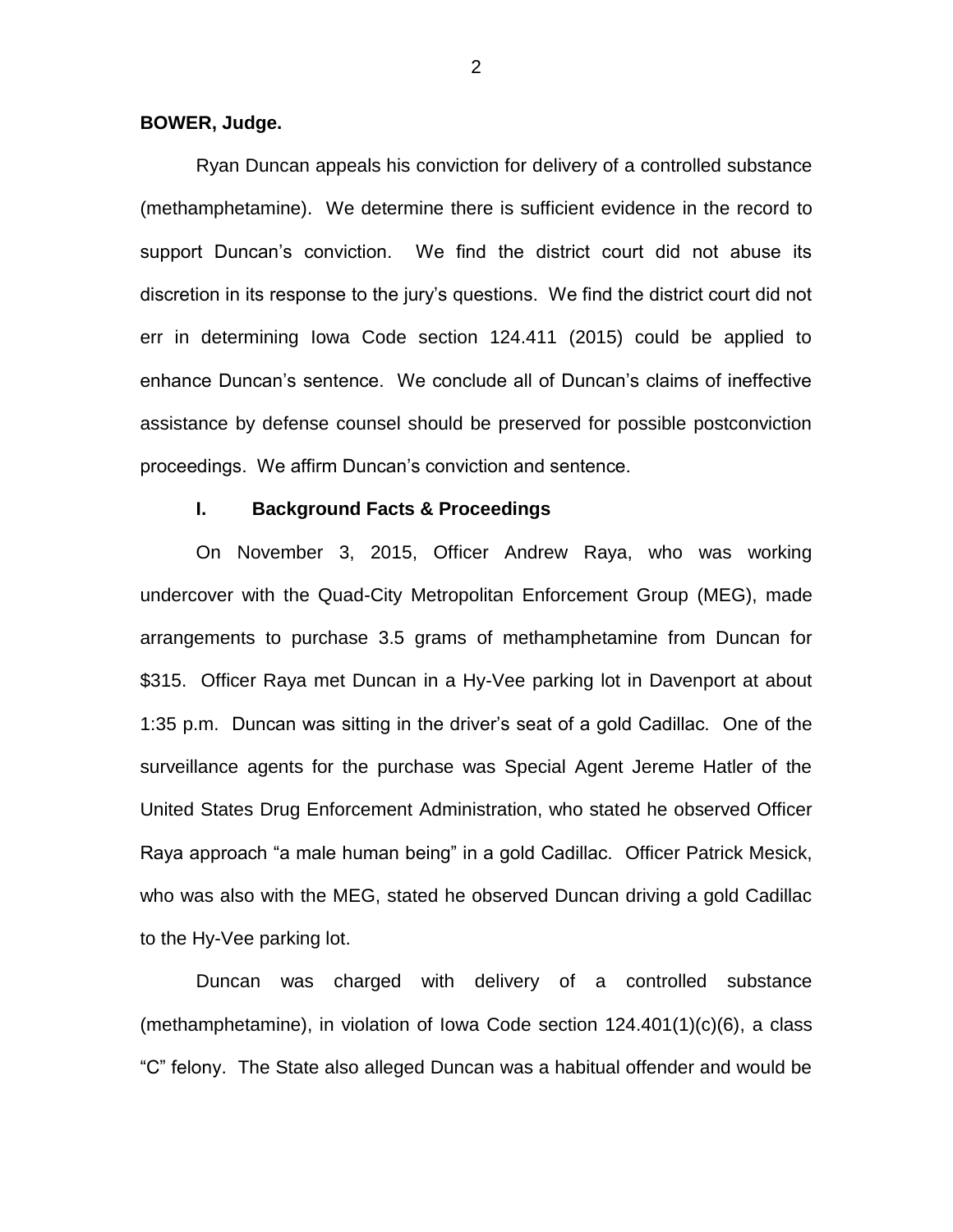#### **BOWER, Judge.**

Ryan Duncan appeals his conviction for delivery of a controlled substance (methamphetamine). We determine there is sufficient evidence in the record to support Duncan's conviction. We find the district court did not abuse its discretion in its response to the jury's questions. We find the district court did not err in determining Iowa Code section 124.411 (2015) could be applied to enhance Duncan's sentence. We conclude all of Duncan's claims of ineffective assistance by defense counsel should be preserved for possible postconviction proceedings. We affirm Duncan's conviction and sentence.

## **I. Background Facts & Proceedings**

On November 3, 2015, Officer Andrew Raya, who was working undercover with the Quad-City Metropolitan Enforcement Group (MEG), made arrangements to purchase 3.5 grams of methamphetamine from Duncan for \$315. Officer Raya met Duncan in a Hy-Vee parking lot in Davenport at about 1:35 p.m. Duncan was sitting in the driver's seat of a gold Cadillac. One of the surveillance agents for the purchase was Special Agent Jereme Hatler of the United States Drug Enforcement Administration, who stated he observed Officer Raya approach "a male human being" in a gold Cadillac. Officer Patrick Mesick, who was also with the MEG, stated he observed Duncan driving a gold Cadillac to the Hy-Vee parking lot.

Duncan was charged with delivery of a controlled substance (methamphetamine), in violation of Iowa Code section 124.401(1)(c)(6), a class "C" felony. The State also alleged Duncan was a habitual offender and would be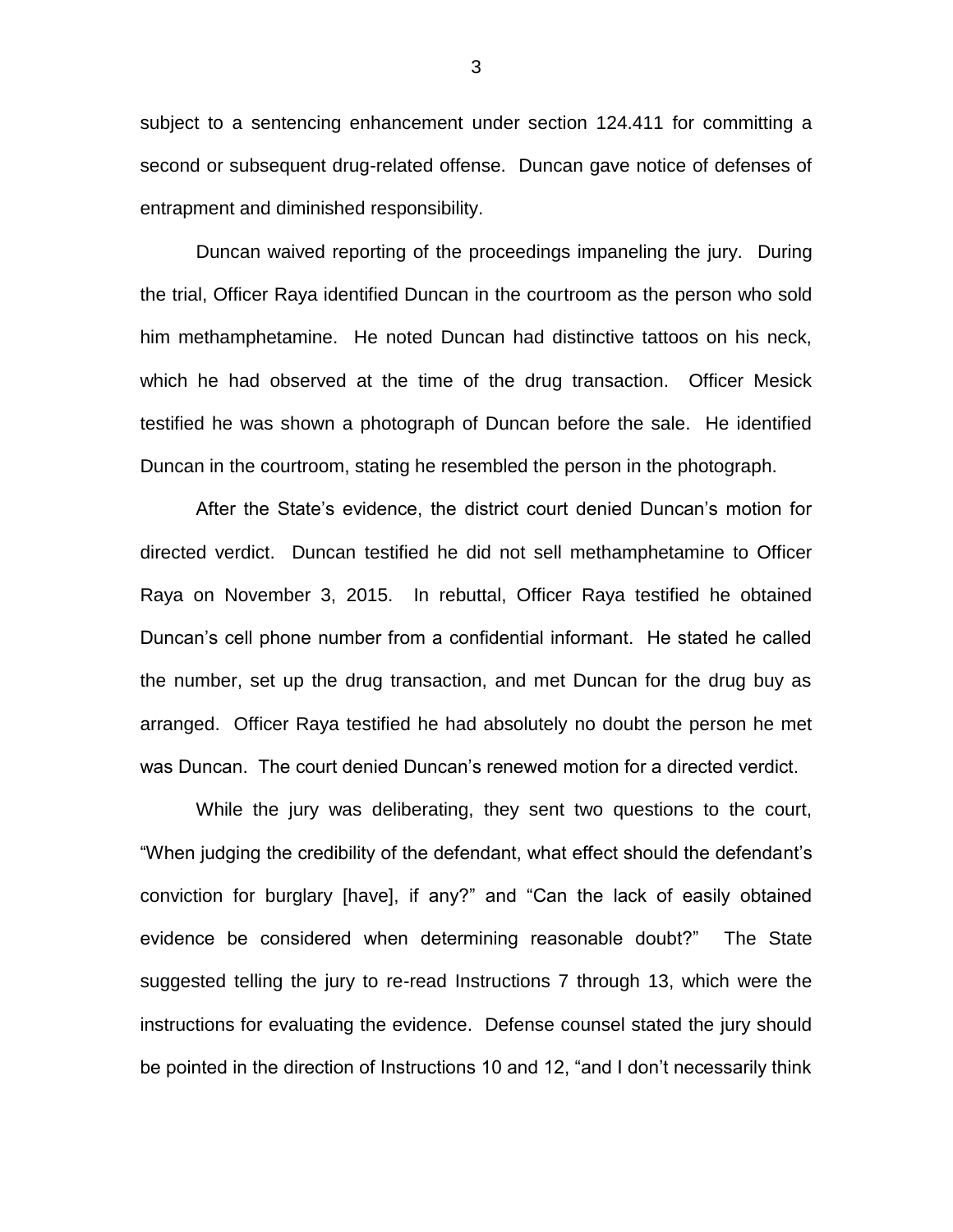subject to a sentencing enhancement under section 124.411 for committing a second or subsequent drug-related offense. Duncan gave notice of defenses of entrapment and diminished responsibility.

Duncan waived reporting of the proceedings impaneling the jury. During the trial, Officer Raya identified Duncan in the courtroom as the person who sold him methamphetamine. He noted Duncan had distinctive tattoos on his neck, which he had observed at the time of the drug transaction. Officer Mesick testified he was shown a photograph of Duncan before the sale. He identified Duncan in the courtroom, stating he resembled the person in the photograph.

After the State's evidence, the district court denied Duncan's motion for directed verdict. Duncan testified he did not sell methamphetamine to Officer Raya on November 3, 2015. In rebuttal, Officer Raya testified he obtained Duncan's cell phone number from a confidential informant. He stated he called the number, set up the drug transaction, and met Duncan for the drug buy as arranged. Officer Raya testified he had absolutely no doubt the person he met was Duncan. The court denied Duncan's renewed motion for a directed verdict.

While the jury was deliberating, they sent two questions to the court, "When judging the credibility of the defendant, what effect should the defendant's conviction for burglary [have], if any?" and "Can the lack of easily obtained evidence be considered when determining reasonable doubt?" The State suggested telling the jury to re-read Instructions 7 through 13, which were the instructions for evaluating the evidence. Defense counsel stated the jury should be pointed in the direction of Instructions 10 and 12, "and I don't necessarily think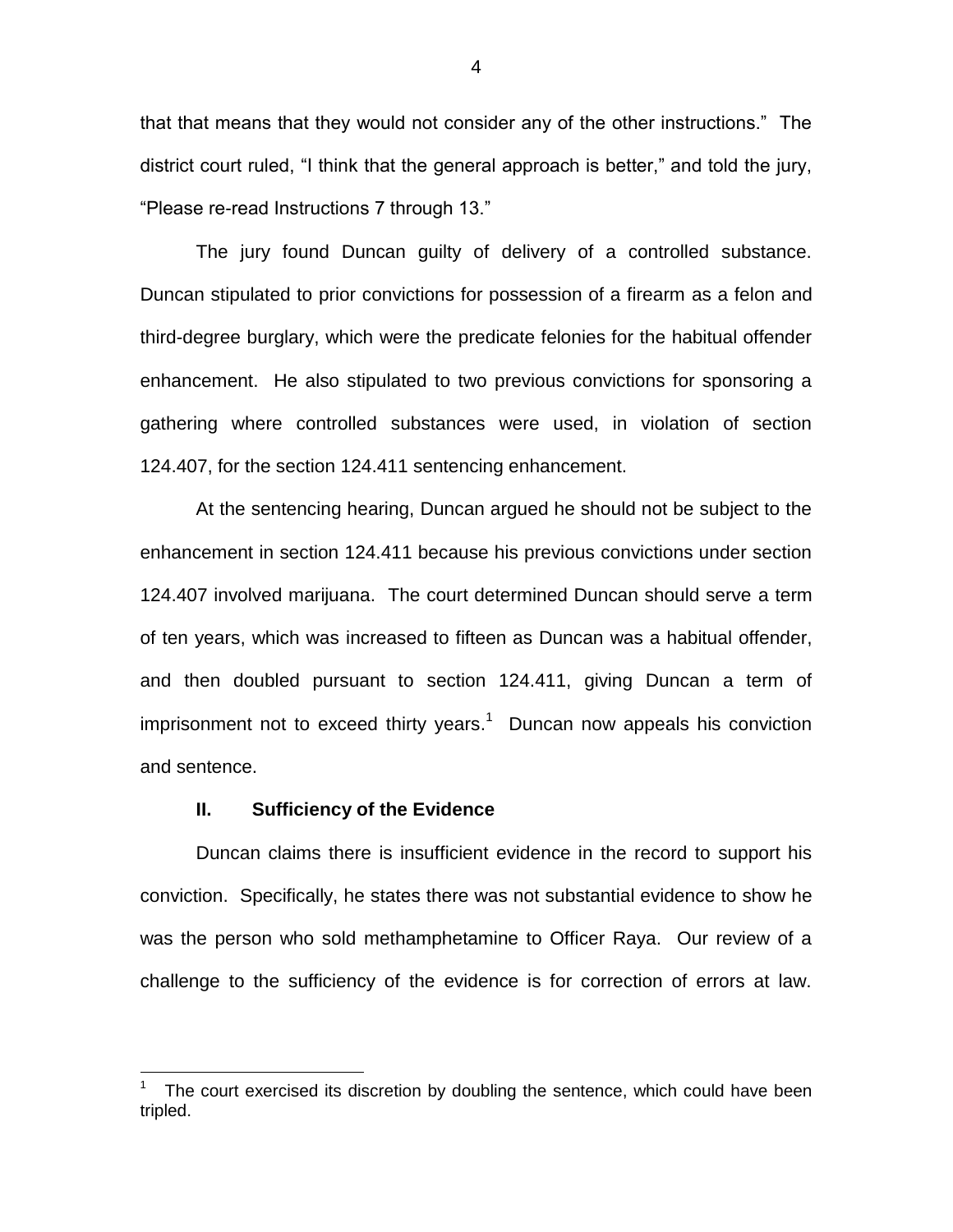that that means that they would not consider any of the other instructions." The district court ruled, "I think that the general approach is better," and told the jury, "Please re-read Instructions 7 through 13."

The jury found Duncan guilty of delivery of a controlled substance. Duncan stipulated to prior convictions for possession of a firearm as a felon and third-degree burglary, which were the predicate felonies for the habitual offender enhancement. He also stipulated to two previous convictions for sponsoring a gathering where controlled substances were used, in violation of section 124.407, for the section 124.411 sentencing enhancement.

At the sentencing hearing, Duncan argued he should not be subject to the enhancement in section 124.411 because his previous convictions under section 124.407 involved marijuana. The court determined Duncan should serve a term of ten years, which was increased to fifteen as Duncan was a habitual offender, and then doubled pursuant to section 124.411, giving Duncan a term of imprisonment not to exceed thirty years.<sup>1</sup> Duncan now appeals his conviction and sentence.

#### **II. Sufficiency of the Evidence**

 $\overline{a}$ 

Duncan claims there is insufficient evidence in the record to support his conviction. Specifically, he states there was not substantial evidence to show he was the person who sold methamphetamine to Officer Raya. Our review of a challenge to the sufficiency of the evidence is for correction of errors at law.

<sup>1</sup> The court exercised its discretion by doubling the sentence, which could have been tripled.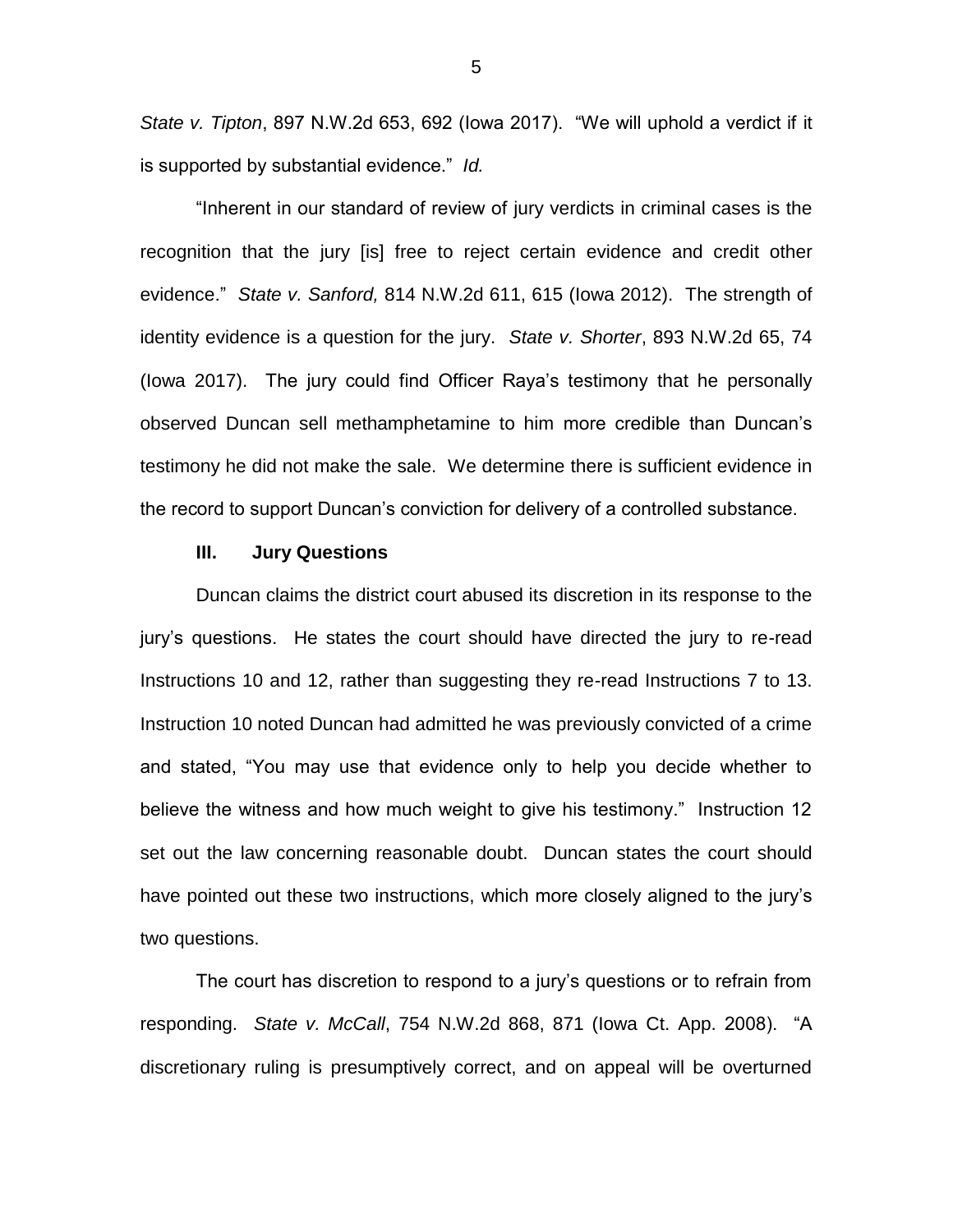*State v. Tipton*, 897 N.W.2d 653, 692 (Iowa 2017). "We will uphold a verdict if it is supported by substantial evidence." *Id.*

"Inherent in our standard of review of jury verdicts in criminal cases is the recognition that the jury [is] free to reject certain evidence and credit other evidence." *State v. Sanford,* 814 N.W.2d 611, 615 (Iowa 2012). The strength of identity evidence is a question for the jury. *State v. Shorter*, 893 N.W.2d 65, 74 (Iowa 2017). The jury could find Officer Raya's testimony that he personally observed Duncan sell methamphetamine to him more credible than Duncan's testimony he did not make the sale. We determine there is sufficient evidence in the record to support Duncan's conviction for delivery of a controlled substance.

#### **III. Jury Questions**

Duncan claims the district court abused its discretion in its response to the jury's questions. He states the court should have directed the jury to re-read Instructions 10 and 12, rather than suggesting they re-read Instructions 7 to 13. Instruction 10 noted Duncan had admitted he was previously convicted of a crime and stated, "You may use that evidence only to help you decide whether to believe the witness and how much weight to give his testimony." Instruction 12 set out the law concerning reasonable doubt. Duncan states the court should have pointed out these two instructions, which more closely aligned to the jury's two questions.

The court has discretion to respond to a jury's questions or to refrain from responding. *State v. McCall*, 754 N.W.2d 868, 871 (Iowa Ct. App. 2008). "A discretionary ruling is presumptively correct, and on appeal will be overturned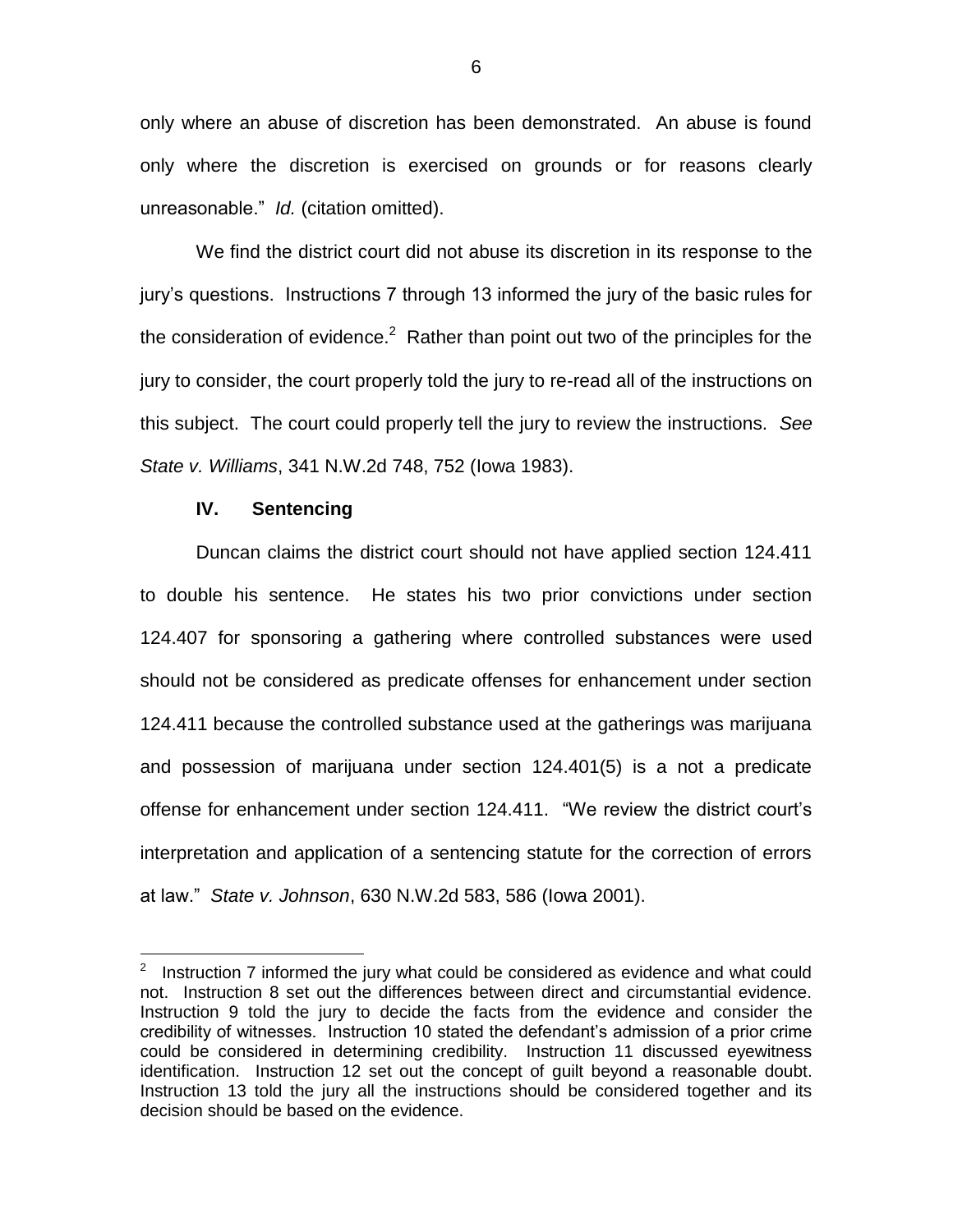only where an abuse of discretion has been demonstrated. An abuse is found only where the discretion is exercised on grounds or for reasons clearly unreasonable." *Id.* (citation omitted).

We find the district court did not abuse its discretion in its response to the jury's questions. Instructions 7 through 13 informed the jury of the basic rules for the consideration of evidence.<sup>2</sup> Rather than point out two of the principles for the jury to consider, the court properly told the jury to re-read all of the instructions on this subject. The court could properly tell the jury to review the instructions. *See State v. Williams*, 341 N.W.2d 748, 752 (Iowa 1983).

### **IV. Sentencing**

Duncan claims the district court should not have applied section 124.411 to double his sentence. He states his two prior convictions under section 124.407 for sponsoring a gathering where controlled substances were used should not be considered as predicate offenses for enhancement under section 124.411 because the controlled substance used at the gatherings was marijuana and possession of marijuana under section 124.401(5) is a not a predicate offense for enhancement under section 124.411. "We review the district court's interpretation and application of a sentencing statute for the correction of errors at law." *State v. Johnson*, 630 N.W.2d 583, 586 (Iowa 2001).

**EXECUTE:**<br><sup>2</sup> Instruction 7 informed the jury what could be considered as evidence and what could not. Instruction 8 set out the differences between direct and circumstantial evidence. Instruction 9 told the jury to decide the facts from the evidence and consider the credibility of witnesses. Instruction 10 stated the defendant's admission of a prior crime could be considered in determining credibility. Instruction 11 discussed eyewitness identification. Instruction 12 set out the concept of guilt beyond a reasonable doubt. Instruction 13 told the jury all the instructions should be considered together and its decision should be based on the evidence.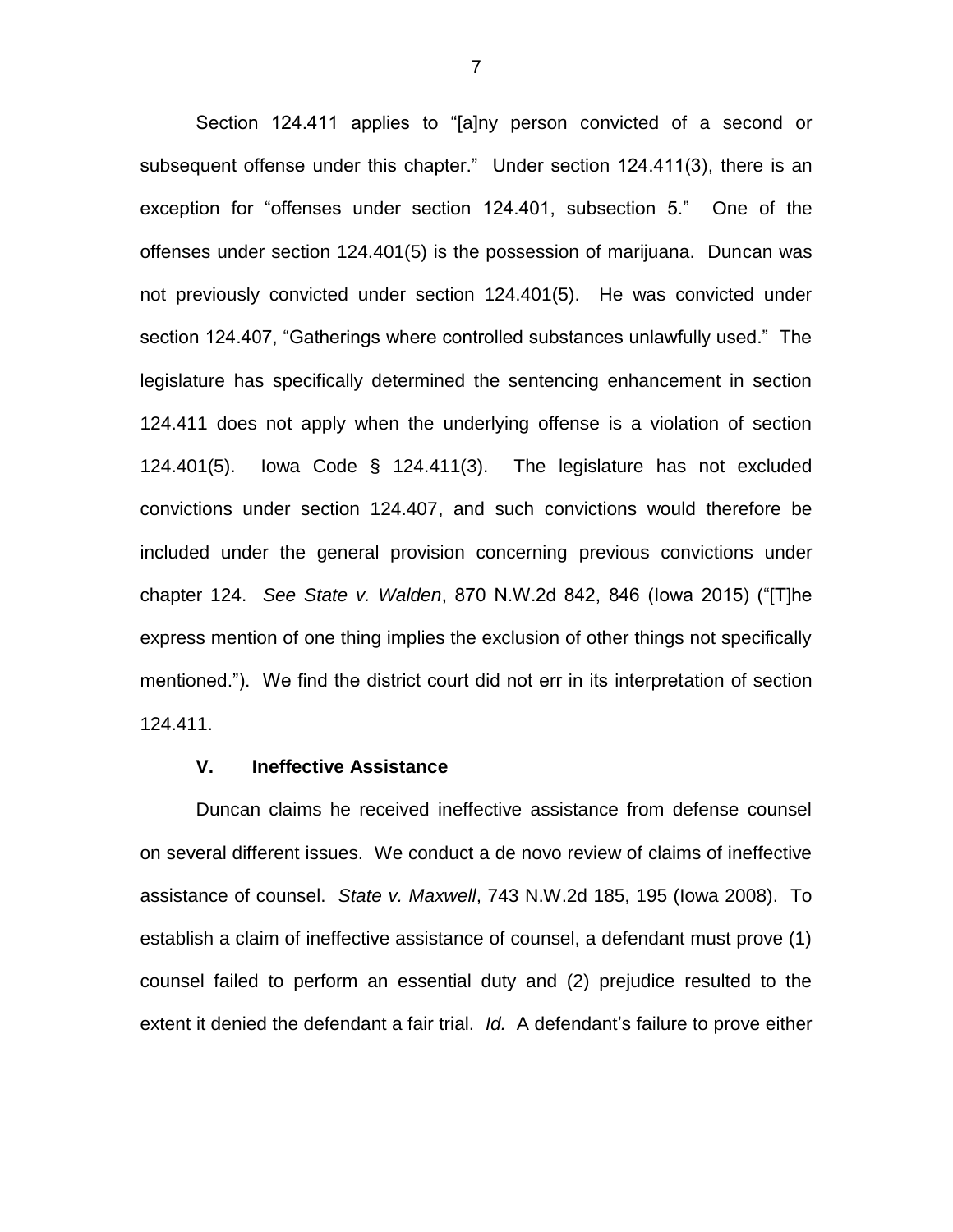Section 124.411 applies to "[a]ny person convicted of a second or subsequent offense under this chapter." Under section 124.411(3), there is an exception for "offenses under section 124.401, subsection 5." One of the offenses under section 124.401(5) is the possession of marijuana. Duncan was not previously convicted under section 124.401(5). He was convicted under section 124.407, "Gatherings where controlled substances unlawfully used." The legislature has specifically determined the sentencing enhancement in section 124.411 does not apply when the underlying offense is a violation of section 124.401(5). Iowa Code § 124.411(3). The legislature has not excluded convictions under section 124.407, and such convictions would therefore be included under the general provision concerning previous convictions under chapter 124. *See State v. Walden*, 870 N.W.2d 842, 846 (Iowa 2015) ("[T]he express mention of one thing implies the exclusion of other things not specifically mentioned."). We find the district court did not err in its interpretation of section 124.411.

## **V. Ineffective Assistance**

Duncan claims he received ineffective assistance from defense counsel on several different issues. We conduct a de novo review of claims of ineffective assistance of counsel. *State v. Maxwell*, 743 N.W.2d 185, 195 (Iowa 2008). To establish a claim of ineffective assistance of counsel, a defendant must prove (1) counsel failed to perform an essential duty and (2) prejudice resulted to the extent it denied the defendant a fair trial. *Id.* A defendant's failure to prove either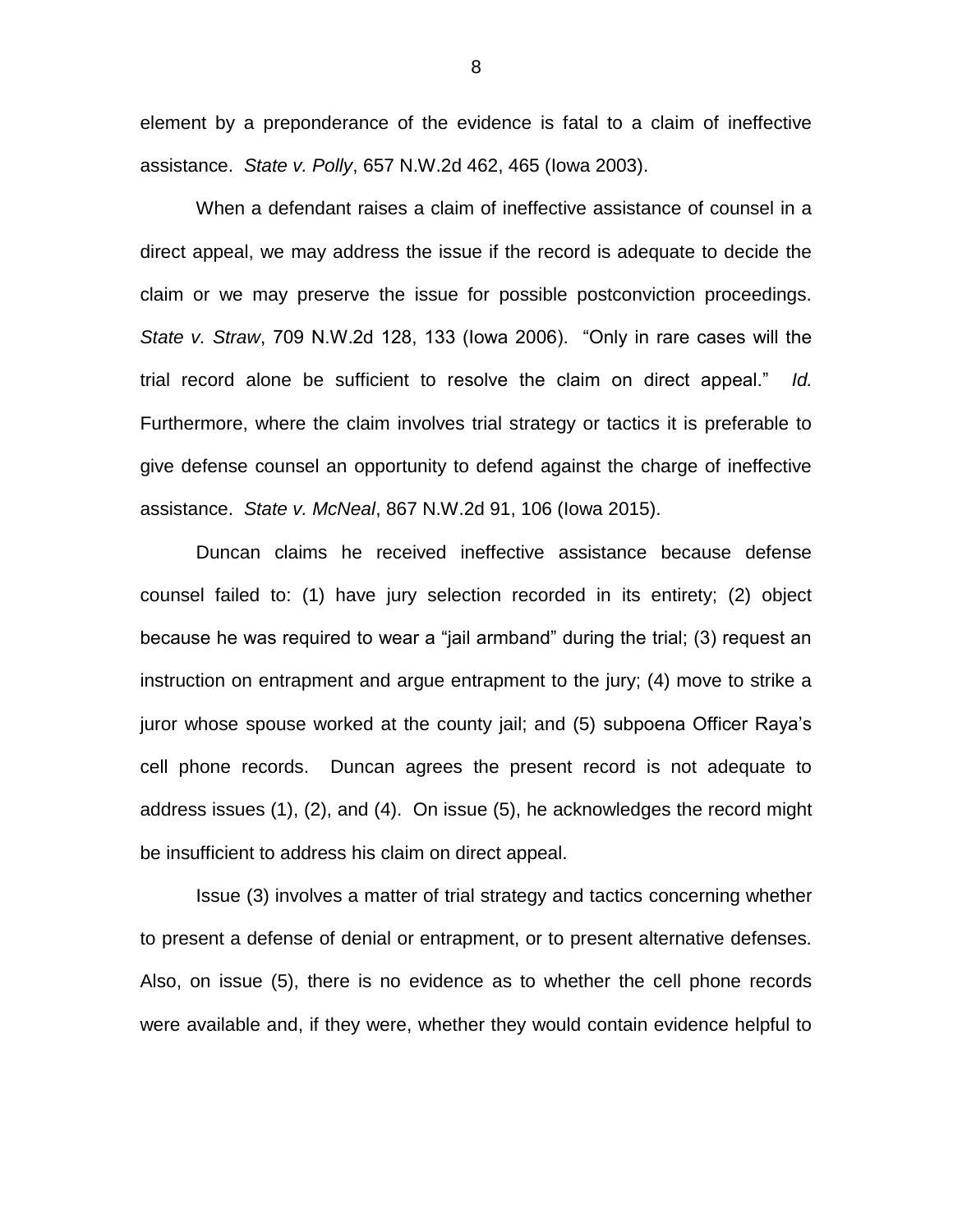element by a preponderance of the evidence is fatal to a claim of ineffective assistance. *State v. Polly*, 657 N.W.2d 462, 465 (Iowa 2003).

When a defendant raises a claim of ineffective assistance of counsel in a direct appeal, we may address the issue if the record is adequate to decide the claim or we may preserve the issue for possible postconviction proceedings. *State v. Straw*, 709 N.W.2d 128, 133 (Iowa 2006). "Only in rare cases will the trial record alone be sufficient to resolve the claim on direct appeal." *Id.* Furthermore, where the claim involves trial strategy or tactics it is preferable to give defense counsel an opportunity to defend against the charge of ineffective assistance. *State v. McNeal*, 867 N.W.2d 91, 106 (Iowa 2015).

Duncan claims he received ineffective assistance because defense counsel failed to: (1) have jury selection recorded in its entirety; (2) object because he was required to wear a "jail armband" during the trial; (3) request an instruction on entrapment and argue entrapment to the jury; (4) move to strike a juror whose spouse worked at the county jail; and (5) subpoena Officer Raya's cell phone records. Duncan agrees the present record is not adequate to address issues (1), (2), and (4). On issue (5), he acknowledges the record might be insufficient to address his claim on direct appeal.

Issue (3) involves a matter of trial strategy and tactics concerning whether to present a defense of denial or entrapment, or to present alternative defenses. Also, on issue (5), there is no evidence as to whether the cell phone records were available and, if they were, whether they would contain evidence helpful to